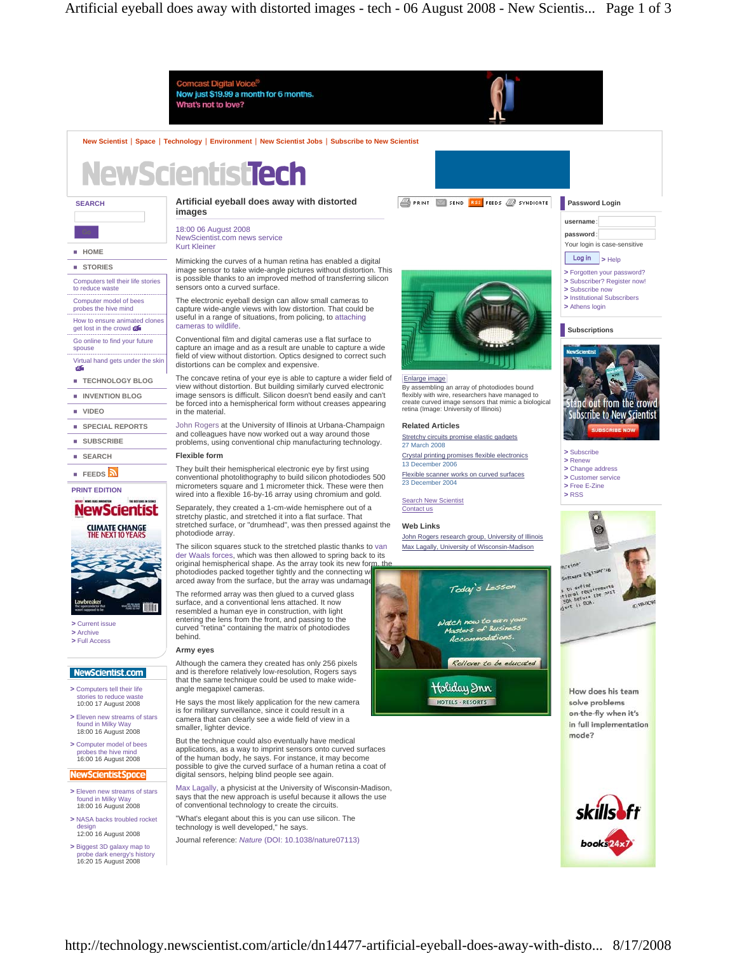

- **>** NASA backs troubled rocket design 12:00 16 August 2008
- **>** Biggest 3D galaxy map to probe dark energy's history 16:20 15 August 2008

technology is well developed," he says. Journal reference: *Nature* (DOI: 10.1038/nature07113)



## http://technology.newscientist.com/article/dn14477-artificial-eyeball-does-away-with-disto... 8/17/2008

books<sup>24x</sup>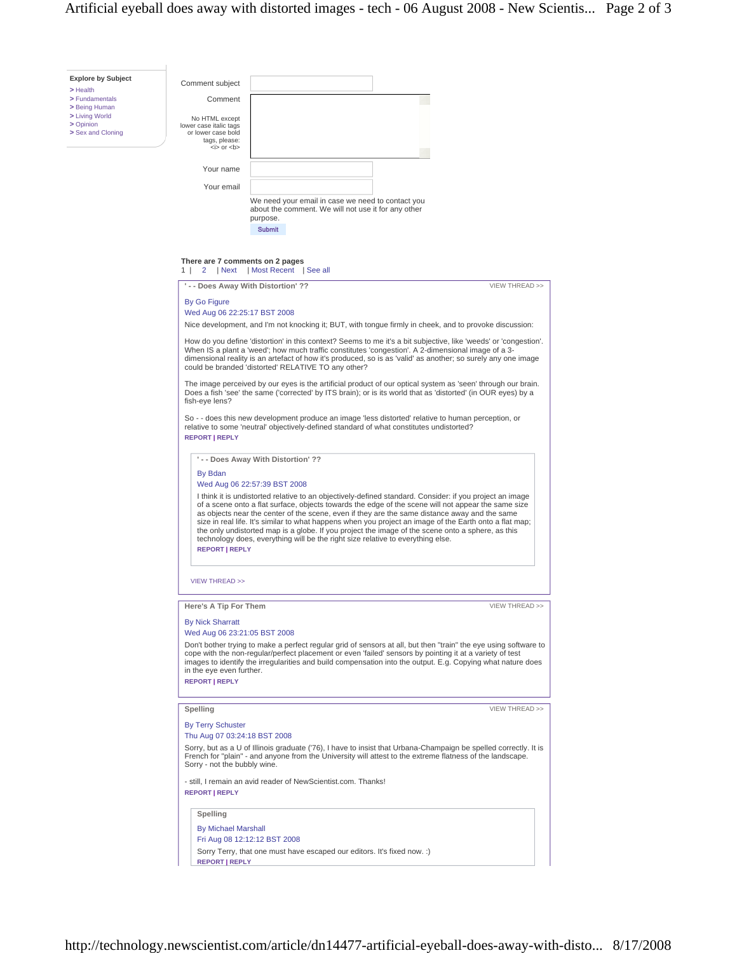| <b>Explore by Subject</b>   | Comment subject                                                                                                                                                                                                                                 |                                                                                                                                         |                                                     |                                                                                 |                                                                                                                                                                                                                                                                                                                                         |  |  |
|-----------------------------|-------------------------------------------------------------------------------------------------------------------------------------------------------------------------------------------------------------------------------------------------|-----------------------------------------------------------------------------------------------------------------------------------------|-----------------------------------------------------|---------------------------------------------------------------------------------|-----------------------------------------------------------------------------------------------------------------------------------------------------------------------------------------------------------------------------------------------------------------------------------------------------------------------------------------|--|--|
| > Health<br>> Fundamentals  | Comment                                                                                                                                                                                                                                         |                                                                                                                                         |                                                     |                                                                                 |                                                                                                                                                                                                                                                                                                                                         |  |  |
| > Being Human               |                                                                                                                                                                                                                                                 |                                                                                                                                         |                                                     |                                                                                 |                                                                                                                                                                                                                                                                                                                                         |  |  |
| > Living World<br>> Opinion | No HTML except<br>lower case italic tags                                                                                                                                                                                                        |                                                                                                                                         |                                                     |                                                                                 |                                                                                                                                                                                                                                                                                                                                         |  |  |
| Sex and Cloning             | or lower case bold<br>tags, please:                                                                                                                                                                                                             |                                                                                                                                         |                                                     |                                                                                 |                                                                                                                                                                                                                                                                                                                                         |  |  |
|                             | $\langle$ = $\rangle$ or $\langle$ b                                                                                                                                                                                                            |                                                                                                                                         |                                                     |                                                                                 |                                                                                                                                                                                                                                                                                                                                         |  |  |
|                             | Your name                                                                                                                                                                                                                                       |                                                                                                                                         |                                                     |                                                                                 |                                                                                                                                                                                                                                                                                                                                         |  |  |
|                             | Your email                                                                                                                                                                                                                                      |                                                                                                                                         |                                                     |                                                                                 |                                                                                                                                                                                                                                                                                                                                         |  |  |
|                             |                                                                                                                                                                                                                                                 |                                                                                                                                         |                                                     |                                                                                 |                                                                                                                                                                                                                                                                                                                                         |  |  |
|                             |                                                                                                                                                                                                                                                 |                                                                                                                                         | about the comment. We will not use it for any other | We need your email in case we need to contact you                               |                                                                                                                                                                                                                                                                                                                                         |  |  |
|                             |                                                                                                                                                                                                                                                 | purpose.<br><b>Submit</b>                                                                                                               |                                                     |                                                                                 |                                                                                                                                                                                                                                                                                                                                         |  |  |
|                             |                                                                                                                                                                                                                                                 |                                                                                                                                         |                                                     |                                                                                 |                                                                                                                                                                                                                                                                                                                                         |  |  |
|                             | There are 7 comments on 2 pages                                                                                                                                                                                                                 |                                                                                                                                         |                                                     |                                                                                 |                                                                                                                                                                                                                                                                                                                                         |  |  |
|                             | $\mathbf{2}$<br>  Next<br>1                                                                                                                                                                                                                     | Most Recent   See all                                                                                                                   |                                                     |                                                                                 |                                                                                                                                                                                                                                                                                                                                         |  |  |
|                             | ' - - Does Away With Distortion' ??                                                                                                                                                                                                             |                                                                                                                                         |                                                     |                                                                                 | VIEW THREAD >>                                                                                                                                                                                                                                                                                                                          |  |  |
|                             | <b>By Go Figure</b>                                                                                                                                                                                                                             |                                                                                                                                         |                                                     |                                                                                 |                                                                                                                                                                                                                                                                                                                                         |  |  |
|                             |                                                                                                                                                                                                                                                 | Wed Aug 06 22:25:17 BST 2008<br>Nice development, and I'm not knocking it; BUT, with tongue firmly in cheek, and to provoke discussion: |                                                     |                                                                                 |                                                                                                                                                                                                                                                                                                                                         |  |  |
|                             |                                                                                                                                                                                                                                                 |                                                                                                                                         |                                                     |                                                                                 |                                                                                                                                                                                                                                                                                                                                         |  |  |
|                             | could be branded 'distorted' RELATIVE TO any other?                                                                                                                                                                                             |                                                                                                                                         |                                                     |                                                                                 | How do you define 'distortion' in this context? Seems to me it's a bit subjective, like 'weeds' or 'congestion'.<br>When IS a plant a 'weed'; how much traffic constitutes 'congestion'. A 2-dimensional image of a 3-<br>dimensional reality is an artefact of how it's produced, so is as 'valid' as another; so surely any one image |  |  |
|                             | The image perceived by our eyes is the artificial product of our optical system as 'seen' through our brain.<br>Does a fish 'see' the same ('corrected' by ITS brain); or is its world that as 'distorted' (in OUR eyes) by a<br>fish-eye lens? |                                                                                                                                         |                                                     |                                                                                 |                                                                                                                                                                                                                                                                                                                                         |  |  |
|                             | So - - does this new development produce an image 'less distorted' relative to human perception, or<br>relative to some 'neutral' objectively-defined standard of what constitutes undistorted?                                                 |                                                                                                                                         |                                                     |                                                                                 |                                                                                                                                                                                                                                                                                                                                         |  |  |
|                             | <b>REPORT   REPLY</b>                                                                                                                                                                                                                           |                                                                                                                                         |                                                     |                                                                                 |                                                                                                                                                                                                                                                                                                                                         |  |  |
|                             |                                                                                                                                                                                                                                                 | '-- Does Away With Distortion' ??                                                                                                       |                                                     |                                                                                 |                                                                                                                                                                                                                                                                                                                                         |  |  |
|                             | By Bdan                                                                                                                                                                                                                                         | Wed Aug 06 22:57:39 BST 2008                                                                                                            |                                                     |                                                                                 |                                                                                                                                                                                                                                                                                                                                         |  |  |
|                             |                                                                                                                                                                                                                                                 |                                                                                                                                         |                                                     |                                                                                 | I think it is undistorted relative to an objectively-defined standard. Consider: if you project an image                                                                                                                                                                                                                                |  |  |
|                             |                                                                                                                                                                                                                                                 |                                                                                                                                         |                                                     |                                                                                 | of a scene onto a flat surface, objects towards the edge of the scene will not appear the same size<br>as objects near the center of the scene, even if they are the same distance away and the same                                                                                                                                    |  |  |
|                             |                                                                                                                                                                                                                                                 |                                                                                                                                         |                                                     |                                                                                 | size in real life. It's similar to what happens when you project an image of the Earth onto a flat map;                                                                                                                                                                                                                                 |  |  |
|                             |                                                                                                                                                                                                                                                 |                                                                                                                                         |                                                     | technology does, everything will be the right size relative to everything else. | the only undistorted map is a globe. If you project the image of the scene onto a sphere, as this                                                                                                                                                                                                                                       |  |  |
|                             | <b>REPORT   REPLY</b>                                                                                                                                                                                                                           |                                                                                                                                         |                                                     |                                                                                 |                                                                                                                                                                                                                                                                                                                                         |  |  |
|                             |                                                                                                                                                                                                                                                 |                                                                                                                                         |                                                     |                                                                                 |                                                                                                                                                                                                                                                                                                                                         |  |  |
|                             | <b>VIEW THREAD &gt;&gt;</b>                                                                                                                                                                                                                     |                                                                                                                                         |                                                     |                                                                                 |                                                                                                                                                                                                                                                                                                                                         |  |  |
|                             | Here's A Tip For Them                                                                                                                                                                                                                           |                                                                                                                                         |                                                     |                                                                                 | VIEW THREAD >>                                                                                                                                                                                                                                                                                                                          |  |  |
|                             | <b>By Nick Sharratt</b>                                                                                                                                                                                                                         |                                                                                                                                         |                                                     |                                                                                 |                                                                                                                                                                                                                                                                                                                                         |  |  |
|                             | Wed Aug 06 23:21:05 BST 2008                                                                                                                                                                                                                    |                                                                                                                                         |                                                     |                                                                                 |                                                                                                                                                                                                                                                                                                                                         |  |  |
|                             |                                                                                                                                                                                                                                                 |                                                                                                                                         |                                                     |                                                                                 | Don't bother trying to make a perfect regular grid of sensors at all, but then "train" the eye using software to                                                                                                                                                                                                                        |  |  |
|                             |                                                                                                                                                                                                                                                 |                                                                                                                                         |                                                     |                                                                                 | cope with the non-regular/perfect placement or even 'failed' sensors by pointing it at a variety of test<br>images to identify the irregularities and build compensation into the output. E.g. Copying what nature does                                                                                                                 |  |  |
|                             | in the eye even further.<br><b>REPORT   REPLY</b>                                                                                                                                                                                               |                                                                                                                                         |                                                     |                                                                                 |                                                                                                                                                                                                                                                                                                                                         |  |  |
|                             |                                                                                                                                                                                                                                                 |                                                                                                                                         |                                                     |                                                                                 |                                                                                                                                                                                                                                                                                                                                         |  |  |
|                             | Spelling                                                                                                                                                                                                                                        |                                                                                                                                         |                                                     |                                                                                 | VIEW THREAD >>                                                                                                                                                                                                                                                                                                                          |  |  |
|                             | <b>By Terry Schuster</b>                                                                                                                                                                                                                        |                                                                                                                                         |                                                     |                                                                                 |                                                                                                                                                                                                                                                                                                                                         |  |  |
|                             | Thu Aug 07 03:24:18 BST 2008                                                                                                                                                                                                                    |                                                                                                                                         |                                                     |                                                                                 |                                                                                                                                                                                                                                                                                                                                         |  |  |
|                             | Sorry - not the bubbly wine.                                                                                                                                                                                                                    |                                                                                                                                         |                                                     |                                                                                 | Sorry, but as a U of Illinois graduate ('76), I have to insist that Urbana-Champaign be spelled correctly. It is<br>French for "plain" - and anyone from the University will attest to the extreme flatness of the landscape.                                                                                                           |  |  |
|                             | - still, I remain an avid reader of NewScientist.com. Thanks!<br><b>REPORT   REPLY</b>                                                                                                                                                          |                                                                                                                                         |                                                     |                                                                                 |                                                                                                                                                                                                                                                                                                                                         |  |  |
|                             | Spelling                                                                                                                                                                                                                                        |                                                                                                                                         |                                                     |                                                                                 |                                                                                                                                                                                                                                                                                                                                         |  |  |
|                             | <b>By Michael Marshall</b>                                                                                                                                                                                                                      |                                                                                                                                         |                                                     |                                                                                 |                                                                                                                                                                                                                                                                                                                                         |  |  |
|                             |                                                                                                                                                                                                                                                 | Fri Aug 08 12:12:12 BST 2008                                                                                                            |                                                     |                                                                                 |                                                                                                                                                                                                                                                                                                                                         |  |  |
|                             |                                                                                                                                                                                                                                                 |                                                                                                                                         |                                                     | Sorry Terry, that one must have escaped our editors. It's fixed now. :)         |                                                                                                                                                                                                                                                                                                                                         |  |  |
|                             | <b>REPORT   REPLY</b>                                                                                                                                                                                                                           |                                                                                                                                         |                                                     |                                                                                 |                                                                                                                                                                                                                                                                                                                                         |  |  |